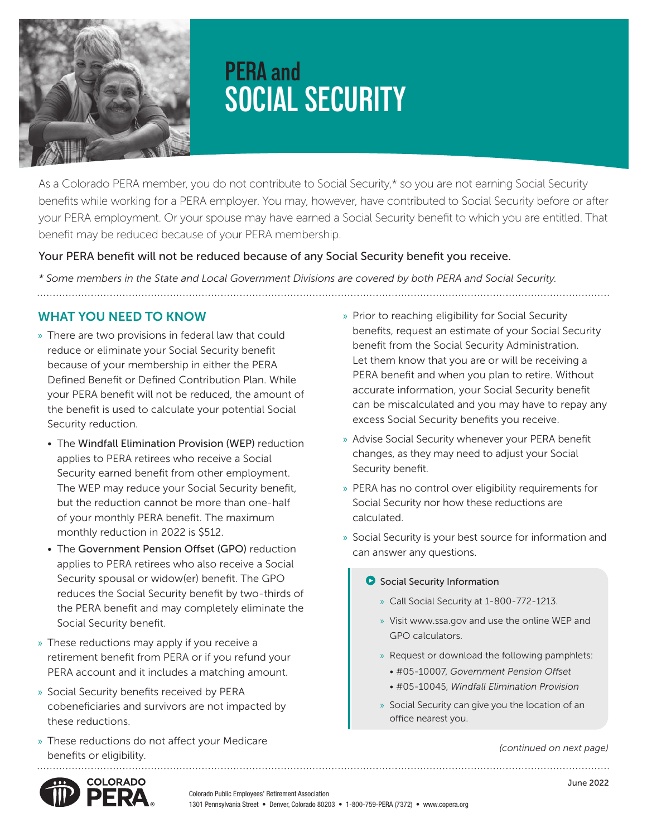

# **PERA and SOCIAL SECURITY**

As a Colorado PERA member, you do not contribute to Social Security,\* so you are not earning Social Security benefits while working for a PERA employer. You may, however, have contributed to Social Security before or after your PERA employment. Or your spouse may have earned a Social Security benefit to which you are entitled. That benefit may be reduced because of your PERA membership.

#### Your PERA benefit will not be reduced because of any Social Security benefit you receive.

*\* Some members in the State and Local Government Divisions are covered by both PERA and Social Security.* 

## WHAT YOU NEED TO KNOW

- » There are two provisions in federal law that could reduce or eliminate your Social Security benefit because of your membership in either the PERA Defined Benefit or Defined Contribution Plan. While your PERA benefit will not be reduced, the amount of the benefit is used to calculate your potential Social Security reduction.
	- The Windfall Elimination Provision (WEP) reduction applies to PERA retirees who receive a Social Security earned benefit from other employment. The WEP may reduce your Social Security benefit, but the reduction cannot be more than one-half of your monthly PERA benefit. The maximum monthly reduction in 2022 is \$512.
	- The Government Pension Offset (GPO) reduction applies to PERA retirees who also receive a Social Security spousal or widow(er) benefit. The GPO reduces the Social Security benefit by two-thirds of the PERA benefit and may completely eliminate the Social Security benefit.
- » These reductions may apply if you receive a retirement benefit from PERA or if you refund your PERA account and it includes a matching amount.
- » Social Security benefits received by PERA cobeneficiaries and survivors are not impacted by these reductions.
- » These reductions do not affect your Medicare benefits or eligibility.
- » Prior to reaching eligibility for Social Security benefits, request an estimate of your Social Security benefit from the Social Security Administration. Let them know that you are or will be receiving a PERA benefit and when you plan to retire. Without accurate information, your Social Security benefit can be miscalculated and you may have to repay any excess Social Security benefits you receive.
- » Advise Social Security whenever your PERA benefit changes, as they may need to adjust your Social Security benefit.
- » PERA has no control over eligibility requirements for Social Security nor how these reductions are calculated.
- » Social Security is your best source for information and can answer any questions.

#### **O** Social Security Information

- » Call Social Security at 1-800-772-1213.
- » Visit www.ssa.gov and use the online WEP and GPO calculators.
- » Request or download the following pamphlets:
	- #05-10007, *Government Pension Offset*
	- #05-10045, *Windfall Elimination Provision*
- » Social Security can give you the location of an office nearest you.

*(continued on next page)*